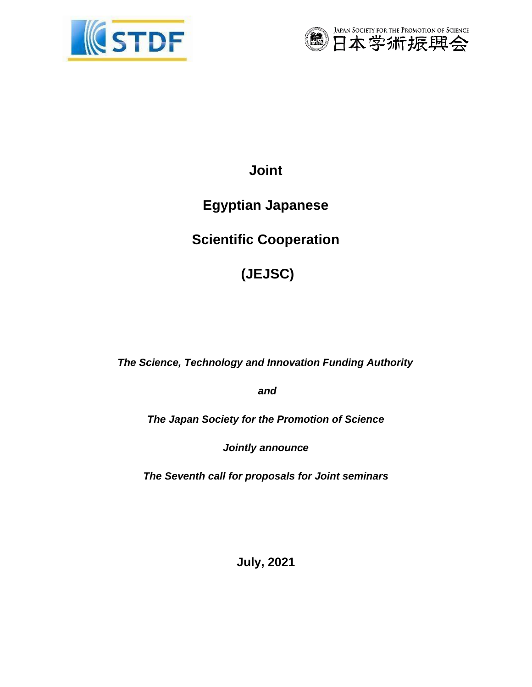



**Joint** 

# **Egyptian Japanese**

**Scientific Cooperation** 

**(JEJSC)**

*The Science, Technology and Innovation Funding Authority*

*and*

*The Japan Society for the Promotion of Science* 

*Jointly announce*

*The Seventh call for proposals for Joint [seminars](https://stdf.eg/grants/114)*

**July, 2021**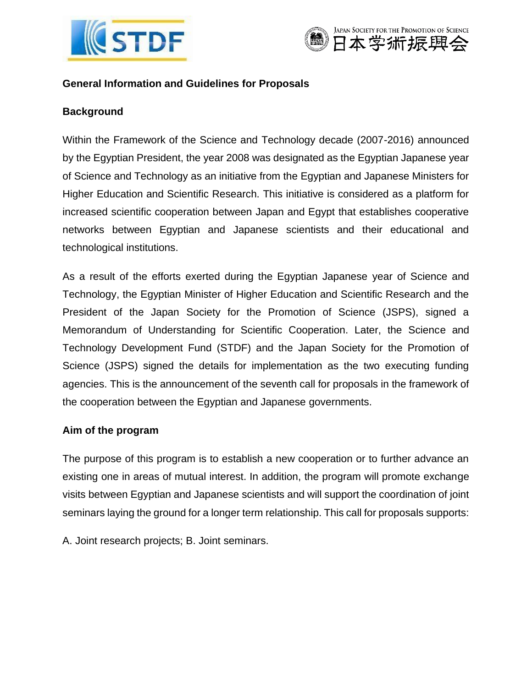



#### **General Information and Guidelines for Proposals**

#### **Background**

Within the Framework of the Science and Technology decade (2007-2016) announced by the Egyptian President, the year 2008 was designated as the Egyptian Japanese year of Science and Technology as an initiative from the Egyptian and Japanese Ministers for Higher Education and Scientific Research. This initiative is considered as a platform for increased scientific cooperation between Japan and Egypt that establishes cooperative networks between Egyptian and Japanese scientists and their educational and technological institutions.

As a result of the efforts exerted during the Egyptian Japanese year of Science and Technology, the Egyptian Minister of Higher Education and Scientific Research and the President of the Japan Society for the Promotion of Science (JSPS), signed a Memorandum of Understanding for Scientific Cooperation. Later, the Science and Technology Development Fund (STDF) and the Japan Society for the Promotion of Science (JSPS) signed the details for implementation as the two executing funding agencies. This is the announcement of the seventh call for proposals in the framework of the cooperation between the Egyptian and Japanese governments.

#### **Aim of the program**

The purpose of this program is to establish a new cooperation or to further advance an existing one in areas of mutual interest. In addition, the program will promote exchange visits between Egyptian and Japanese scientists and will support the coordination of joint seminars laying the ground for a longer term relationship. This call for proposals supports:

A. Joint research projects; B. Joint seminars.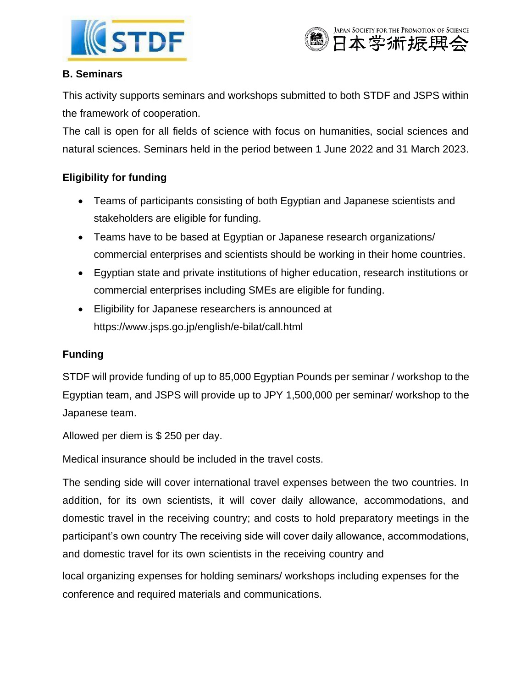



### **B. Seminars**

This activity supports seminars and workshops submitted to both STDF and JSPS within the framework of cooperation.

The call is open for all fields of science with focus on humanities, social sciences and natural sciences. Seminars held in the period between 1 June 2022 and 31 March 2023.

## **Eligibility for funding**

- Teams of participants consisting of both Egyptian and Japanese scientists and stakeholders are eligible for funding.
- Teams have to be based at Egyptian or Japanese research organizations/ commercial enterprises and scientists should be working in their home countries.
- Egyptian state and private institutions of higher education, research institutions or commercial enterprises including SMEs are eligible for funding.
- Eligibility for Japanese researchers is announced at ht[tps://www.jsps.go.jp/e](http://www.jsps.go.jp/english/e-bilat/call.html)ng[lish/e-bilat/call.html](http://www.jsps.go.jp/english/e-bilat/call.html)

## **Funding**

STDF will provide funding of up to 85,000 Egyptian Pounds per seminar / workshop to the Egyptian team, and JSPS will provide up to JPY 1,500,000 per seminar/ workshop to the Japanese team.

Allowed per diem is \$ 250 per day.

Medical insurance should be included in the travel costs.

The sending side will cover international travel expenses between the two countries. In addition, for its own scientists, it will cover daily allowance, accommodations, and domestic travel in the receiving country; and costs to hold preparatory meetings in the participant's own country The receiving side will cover daily allowance, accommodations, and domestic travel for its own scientists in the receiving country and

local organizing expenses for holding seminars/ workshops including expenses for the conference and required materials and communications.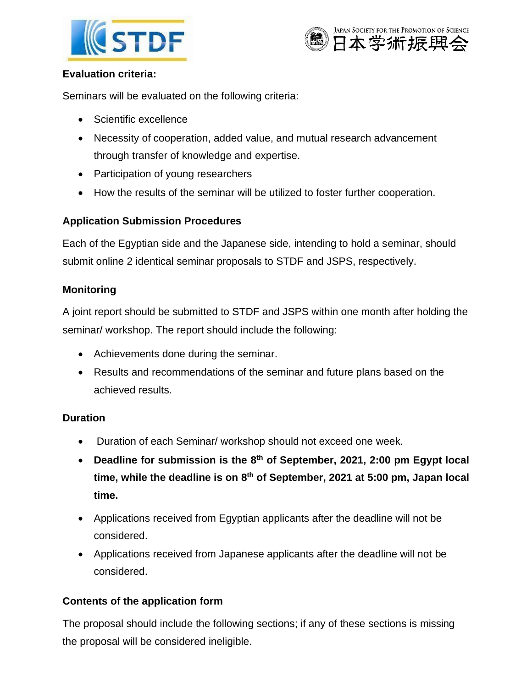



#### **Evaluation criteria:**

Seminars will be evaluated on the following criteria:

- Scientific excellence
- Necessity of cooperation, added value, and mutual research advancement through transfer of knowledge and expertise.
- Participation of young researchers
- How the results of the seminar will be utilized to foster further cooperation.

## **Application Submission Procedures**

Each of the Egyptian side and the Japanese side, intending to hold a seminar, should submit online 2 identical seminar proposals to STDF and JSPS, respectively.

## **Monitoring**

A joint report should be submitted to STDF and JSPS within one month after holding the seminar/ workshop. The report should include the following:

- Achievements done during the seminar.
- Results and recommendations of the seminar and future plans based on the achieved results.

## **Duration**

- Duration of each Seminar/ workshop should not exceed one week.
- **Deadline for submission is the 8 th of September, 2021, 2:00 pm Egypt local time, while the deadline is on 8 th of September, 2021 at 5:00 pm, Japan local time.**
- Applications received from Egyptian applicants after the deadline will not be considered.
- Applications received from Japanese applicants after the deadline will not be considered.

## **Contents of the application form**

The proposal should include the following sections; if any of these sections is missing the proposal will be considered ineligible.